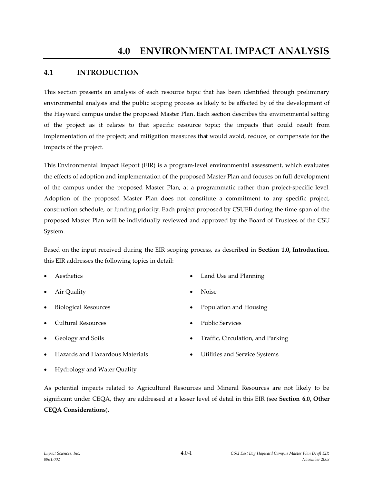### **4.1 INTRODUCTION**

This section presents an analysis of each resource topic that has been identified through preliminary environmental analysis and the public scoping process as likely to be affected by of the development of the Hayward campus under the proposed Master Plan. Each section describes the environmental setting of the project as it relates to that specific resource topic; the impacts that could result from implementation of the project; and mitigation measures that would avoid, reduce, or compensate for the impacts of the project.

This Environmental Impact Report (EIR) is a program-level environmental assessment, which evaluates the effects of adoption and implementation of the proposed Master Plan and focuses on full development of the campus under the proposed Master Plan, at a programmatic rather than project-specific level. Adoption of the proposed Master Plan does not constitute a commitment to any specific project, construction schedule, or funding priority. Each project proposed by CSUEB during the time span of the proposed Master Plan will be individually reviewed and approved by the Board of Trustees of the CSU System.

Based on the input received during the EIR scoping process, as described in **Section 1.0, Introduction**, this EIR addresses the following topics in detail:

- 
- Air Quality **Noise** Noise
- 
- Cultural Resources Public Services
- 
- Hazards and Hazardous Materials **•** Utilities and Service Systems
- Aesthetics **Land Use and Planning** 
	-
- Biological Resources **Contains and Housing** Population and Housing
	-
- Geology and Soils **Traffic**, Circulation, and Parking
	-

Hydrology and Water Quality

As potential impacts related to Agricultural Resources and Mineral Resources are not likely to be significant under CEQA, they are addressed at a lesser level of detail in this EIR (see **Section 6.0, Other CEQA Considerations**).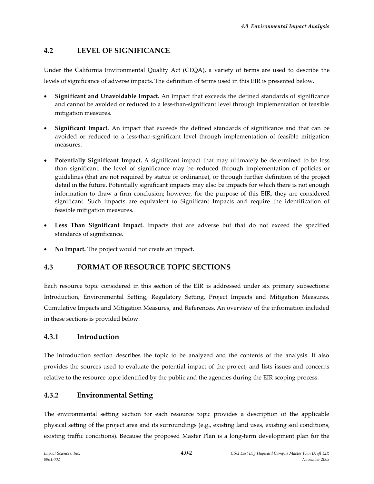# **4.2 LEVEL OF SIGNIFICANCE**

Under the California Environmental Quality Act (CEQA), a variety of terms are used to describe the levels of significance of adverse impacts. The definition of terms used in this EIR is presented below.

- **Significant and Unavoidable Impact.** An impact that exceeds the defined standards of significance and cannot be avoided or reduced to a less-than-significant level through implementation of feasible mitigation measures.
- **Significant Impact.** An impact that exceeds the defined standards of significance and that can be avoided or reduced to a less-than-significant level through implementation of feasible mitigation measures.
- **Potentially Significant Impact.** A significant impact that may ultimately be determined to be less than significant; the level of significance may be reduced through implementation of policies or guidelines (that are not required by statue or ordinance), or through further definition of the project detail in the future. Potentially significant impacts may also be impacts for which there is not enough information to draw a firm conclusion; however, for the purpose of this EIR, they are considered significant. Such impacts are equivalent to Significant Impacts and require the identification of feasible mitigation measures.
- Less Than Significant Impact. Impacts that are adverse but that do not exceed the specified standards of significance.
- **No Impact.** The project would not create an impact.

## **4.3 FORMAT OF RESOURCE TOPIC SECTIONS**

Each resource topic considered in this section of the EIR is addressed under six primary subsections: Introduction, Environmental Setting, Regulatory Setting, Project Impacts and Mitigation Measures, Cumulative Impacts and Mitigation Measures, and References. An overview of the information included in these sections is provided below.

## **4.3.1 Introduction**

The introduction section describes the topic to be analyzed and the contents of the analysis. It also provides the sources used to evaluate the potential impact of the project, and lists issues and concerns relative to the resource topic identified by the public and the agencies during the EIR scoping process.

## **4.3.2 Environmental Setting**

The environmental setting section for each resource topic provides a description of the applicable physical setting of the project area and its surroundings (e.g., existing land uses, existing soil conditions, existing traffic conditions). Because the proposed Master Plan is a long-term development plan for the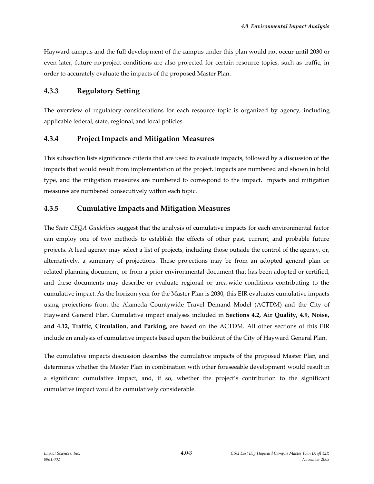Hayward campus and the full development of the campus under this plan would not occur until 2030 or even later, future no-project conditions are also projected for certain resource topics, such as traffic, in order to accurately evaluate the impacts of the proposed Master Plan.

#### **4.3.3 Regulatory Setting**

The overview of regulatory considerations for each resource topic is organized by agency, including applicable federal, state, regional, and local policies.

#### **4.3.4 ProjectImpacts and Mitigation Measures**

This subsection lists significance criteria that are used to evaluate impacts, followed by a discussion of the impacts that would result from implementation of the project. Impacts are numbered and shown in bold type, and the mitigation measures are numbered to correspond to the impact. Impacts and mitigation measures are numbered consecutively within each topic.

#### **4.3.5 Cumulative Impacts and Mitigation Measures**

The *State CEQA Guidelines* suggest that the analysis of cumulative impacts for each environmental factor can employ one of two methods to establish the effects of other past, current, and probable future projects. A lead agency may select a list of projects, including those outside the control of the agency, or, alternatively, a summary of projections. These projections may be from an adopted general plan or related planning document, or from a prior environmental document that has been adopted or certified, and these documents may describe or evaluate regional or area-wide conditions contributing to the cumulative impact. As the horizon year for the Master Plan is 2030, this EIR evaluates cumulative impacts using projections from the Alameda Countywide Travel Demand Model (ACTDM) and the City of Hayward General Plan. Cumulative impact analyses included in **Sections 4.2, Air Quality, 4.9, Noise, and 4.12, Traffic, Circulation, and Parking,** are based on the ACTDM. All other sections of this EIR include an analysis of cumulative impacts based upon the buildout of the City of Hayward General Plan.

The cumulative impacts discussion describes the cumulative impacts of the proposed Master Plan, and determines whether the Master Plan in combination with other foreseeable development would result in a significant cumulative impact, and, if so, whether the project's contribution to the significant cumulative impact would be cumulatively considerable.